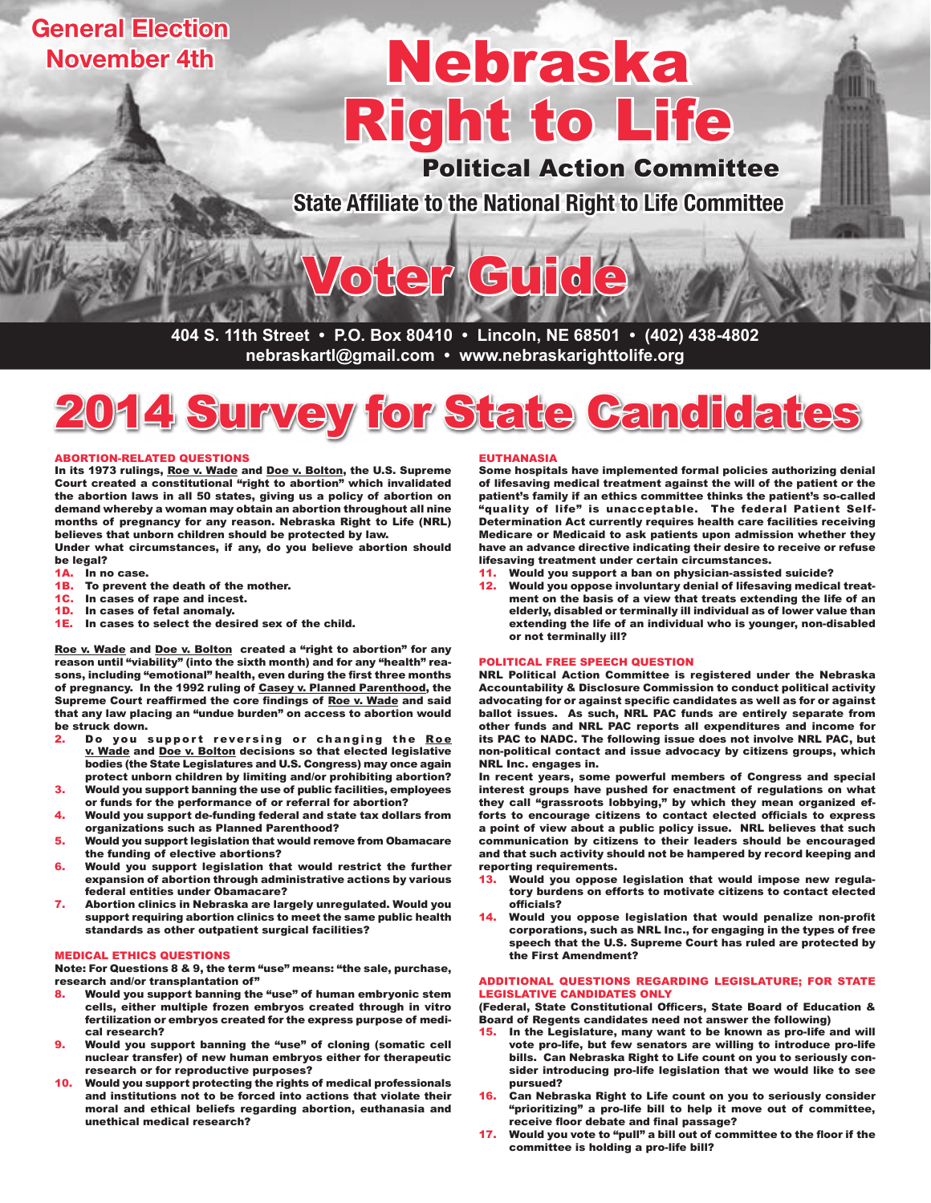# **General Election November 4th**

# Right to Life Nebraska

Political Action Committee

**State Affiliate to the National Right to Life Committee**

**404 S. 11th Street • P.O. Box 80410 • Lincoln, NE 68501 • (402) 438-4802 nebraskartl@gmail.com • www.nebraskarighttolife.org**

Voter Guide



#### ABORTION-RELATED QUESTIONS

In its 1973 rulings, Roe v. Wade and Doe v. Bolton, the U.S. Supreme Court created a constitutional "right to abortion" which invalidated the abortion laws in all 50 states, giving us a policy of abortion on demand whereby a woman may obtain an abortion throughout all nine months of pregnancy for any reason. Nebraska Right to Life (NRL) believes that unborn children should be protected by law.

Under what circumstances, if any, do you believe abortion should be legal?

- 1A. In no case.<br>1B. To prevent
- To prevent the death of the mother.
- 1C. In cases of rape and incest.
- 1D. In cases of fetal anomaly.<br>1E. In cases to select the des
- In cases to select the desired sex of the child.

Roe v. Wade and Doe v. Bolton created a "right to abortion" for any reason until "viability" (into the sixth month) and for any "health" reasons, including "emotional" health, even during the first three months of pregnancy. In the 1992 ruling of Casey v. Planned Parenthood, the Supreme Court reaffirmed the core findings of Roe v. Wade and said that any law placing an "undue burden" on access to abortion would be struck down.

- 2. Do you support reversing or changing the Roe v. Wade and Doe v. Bolton decisions so that elected legislative bodies (the State Legislatures and U.S. Congress) may once again protect unborn children by limiting and/or prohibiting abortion?
- 3. Would you support banning the use of public facilities, employees or funds for the performance of or referral for abortion?
- 4. Would you support de-funding federal and state tax dollars from organizations such as Planned Parenthood?
- 5. Would you support legislation that would remove from Obamacare the funding of elective abortions?
- 6. Would you support legislation that would restrict the further expansion of abortion through administrative actions by various federal entities under Obamacare?
- 7. Abortion clinics in Nebraska are largely unregulated. Would you support requiring abortion clinics to meet the same public health standards as other outpatient surgical facilities?

#### MEDICAL ETHICS QUESTIONS

Note: For Questions 8 & 9, the term "use" means: "the sale, purchase, research and/or transplantation of"

- Would you support banning the "use" of human embryonic stem cells, either multiple frozen embryos created through in vitro fertilization or embryos created for the express purpose of medical research?
- 9. Would you support banning the "use" of cloning (somatic cell nuclear transfer) of new human embryos either for therapeutic research or for reproductive purposes?
- Would you support protecting the rights of medical professionals and institutions not to be forced into actions that violate their moral and ethical beliefs regarding abortion, euthanasia and unethical medical research?

#### EUTHANASIA

Some hospitals have implemented formal policies authorizing denial of lifesaving medical treatment against the will of the patient or the patient's family if an ethics committee thinks the patient's so-called "quality of life" is unacceptable. The federal Patient Self-Determination Act currently requires health care facilities receiving Medicare or Medicaid to ask patients upon admission whether they have an advance directive indicating their desire to receive or refuse lifesaving treatment under certain circumstances.

- 11. Would you support a ban on physician-assisted suicide?
- 12. Would you oppose involuntary denial of lifesaving medical treatment on the basis of a view that treats extending the life of an elderly, disabled or terminally ill individual as of lower value than extending the life of an individual who is younger, non-disabled or not terminally ill?

#### POLITICAL FREE SPEECH QUESTION

NRL Political Action Committee is registered under the Nebraska Accountability & Disclosure Commission to conduct political activity advocating for or against specific candidates as well as for or against ballot issues. As such, NRL PAC funds are entirely separate from other funds and NRL PAC reports all expenditures and income for its PAC to NADC. The following issue does not involve NRL PAC, but non-political contact and issue advocacy by citizens groups, which NRL Inc. engages in.

In recent years, some powerful members of Congress and special interest groups have pushed for enactment of regulations on what they call "grassroots lobbying," by which they mean organized efforts to encourage citizens to contact elected officials to express a point of view about a public policy issue. NRL believes that such communication by citizens to their leaders should be encouraged and that such activity should not be hampered by record keeping and reporting requirements.

- 13. Would you oppose legislation that would impose new regulatory burdens on efforts to motivate citizens to contact elected officials?
- 14. Would you oppose legislation that would penalize non-profit corporations, such as NRL Inc., for engaging in the types of free speech that the U.S. Supreme Court has ruled are protected by the First Amendment?

#### ADDITIONAL QUESTIONS REGARDING LEGISLATURE; FOR STATE LEGISLATIVE CANDIDATES ONLY

(Federal, State Constitutional Officers, State Board of Education & Board of Regents candidates need not answer the following)

- 15. In the Legislature, many want to be known as pro-life and will vote pro-life, but few senators are willing to introduce pro-life bills. Can Nebraska Right to Life count on you to seriously consider introducing pro-life legislation that we would like to see pursued?
- 16. Can Nebraska Right to Life count on you to seriously consider "prioritizing" a pro-life bill to help it move out of committee, receive floor debate and final passage?
- 17. Would you vote to "pull" a bill out of committee to the floor if the committee is holding a pro-life bill?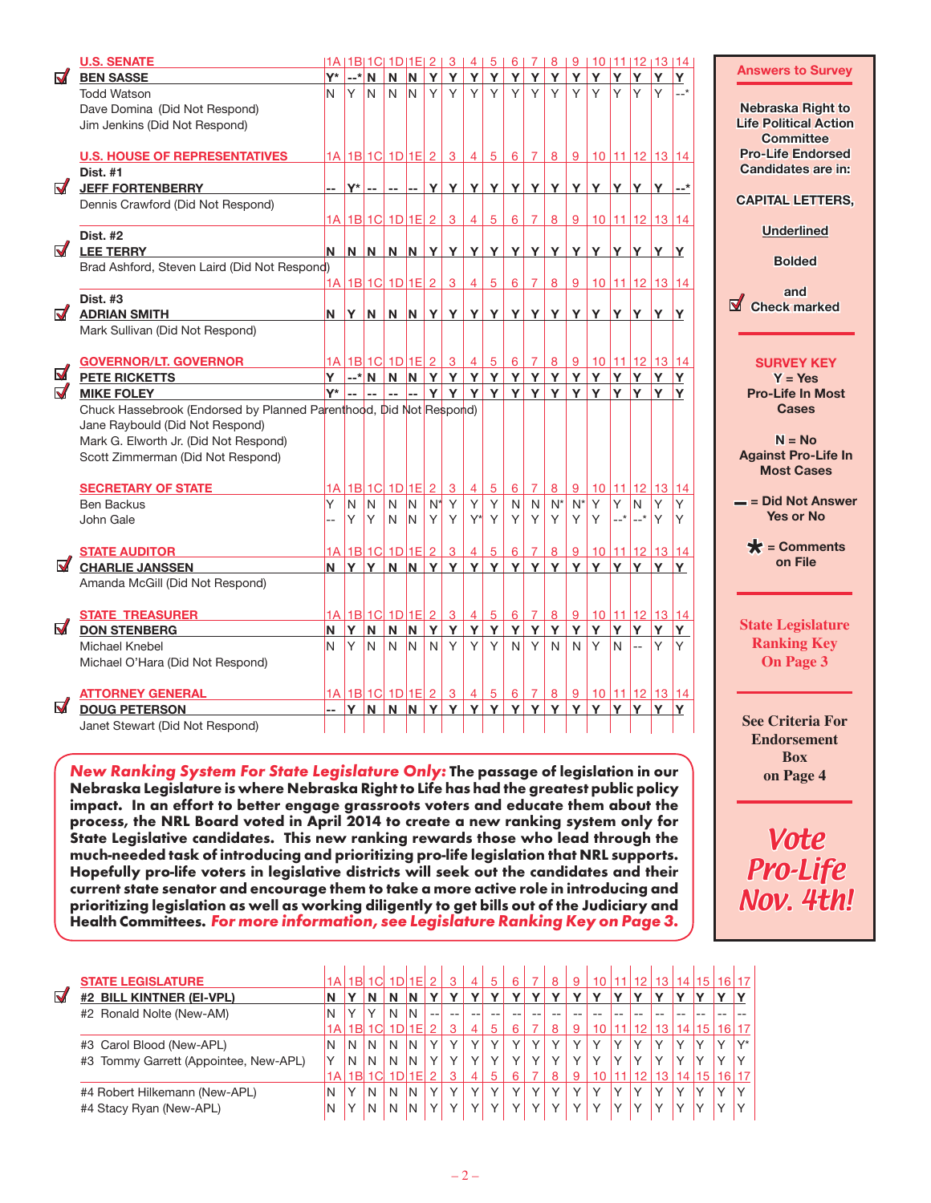|                       | <b>U.S. SENATE</b>                                                 |                |                |                |                         |                |                |                                                           |                 |                 |                 |                   |                            |       | $ 1A 1B 1C 1D 1E 2 3 4 5 6 7 8 9 10 11 12 13 14$ |       |                |                  |          | <b>Answers to Survey</b>              |
|-----------------------|--------------------------------------------------------------------|----------------|----------------|----------------|-------------------------|----------------|----------------|-----------------------------------------------------------|-----------------|-----------------|-----------------|-------------------|----------------------------|-------|--------------------------------------------------|-------|----------------|------------------|----------|---------------------------------------|
| $\blacktriangledown$  | <b>BEN SASSE</b>                                                   |                |                | $ Y^* $ --* N  |                         |                |                |                                                           |                 |                 |                 |                   | N N Y Y Y Y Y Y Y Y        |       | $Y$ $Y$                                          | Y     | ΙY.            | Y                | Y        |                                       |
|                       | <b>Todd Watson</b>                                                 | N.             | Y              | N <sub>1</sub> | N                       | I <sub>N</sub> | Y              | Y                                                         | Y               | Y               | Y               | Y                 | Y                          |       | YY                                               | Y     | Y              | Y                | $-$ *    |                                       |
|                       | Dave Domina (Did Not Respond)                                      |                |                |                |                         |                |                |                                                           |                 |                 |                 |                   |                            |       |                                                  |       |                |                  |          | Nebraska Right to                     |
|                       | Jim Jenkins (Did Not Respond)                                      |                |                |                |                         |                |                |                                                           |                 |                 |                 |                   |                            |       |                                                  |       |                |                  |          | <b>Life Political Action</b>          |
|                       |                                                                    |                |                |                |                         |                |                |                                                           |                 |                 |                 |                   |                            |       |                                                  |       |                |                  |          | <b>Committee</b>                      |
|                       | <b>U.S. HOUSE OF REPRESENTATIVES</b>                               |                |                |                |                         |                |                |                                                           |                 |                 |                 |                   |                            |       | 1A 1B 1C 1D 1E 2 3 4 5 6 7 8 9 10 11 12 13 14    |       |                |                  |          | <b>Pro-Life Endorsed</b>              |
|                       | <b>Dist. #1</b>                                                    |                |                |                |                         |                |                |                                                           |                 |                 |                 |                   |                            |       |                                                  |       |                |                  |          | Candidates are in:                    |
| $\blacktriangledown$  | <b>JEFF FORTENBERRY</b>                                            |                |                |                |                         |                |                |                                                           |                 |                 |                 |                   |                            |       |                                                  |       |                |                  |          |                                       |
|                       | Dennis Crawford (Did Not Respond)                                  |                |                |                |                         |                |                |                                                           |                 |                 |                 |                   |                            |       |                                                  |       |                |                  |          | <b>CAPITAL LETTERS,</b>               |
|                       |                                                                    |                |                |                |                         |                |                |                                                           |                 |                 |                 |                   |                            |       | 1A 1B 1C 1D 1E 2345678910111121314               |       |                |                  |          |                                       |
|                       |                                                                    |                |                |                |                         |                |                |                                                           |                 |                 |                 |                   |                            |       |                                                  |       |                |                  |          | <b>Underlined</b>                     |
| $\blacktriangledown$  | <b>Dist. #2</b>                                                    |                |                |                |                         |                |                |                                                           |                 |                 |                 |                   |                            |       |                                                  |       |                |                  |          |                                       |
|                       | <b>LEE TERRY</b>                                                   |                |                |                |                         |                |                |                                                           |                 |                 |                 |                   |                            |       |                                                  |       |                |                  |          | <b>Bolded</b>                         |
|                       | Brad Ashford, Steven Laird (Did Not Respond)                       |                |                |                |                         |                |                |                                                           |                 |                 |                 |                   |                            |       |                                                  |       |                |                  |          |                                       |
|                       |                                                                    |                |                |                |                         |                |                | $1A$ 1B 1C 1D 1E 2 3                                      |                 | 4 5             | $6 \mid$        |                   |                            |       | 7 8 9 10 11 12 13 14                             |       |                |                  |          | and                                   |
|                       | <b>Dist. #3</b>                                                    |                |                |                |                         |                |                |                                                           |                 |                 |                 |                   |                            |       |                                                  |       |                |                  |          | $\blacksquare$<br><b>Check marked</b> |
| $\blacktriangledown$  | <b>ADRIAN SMITH</b>                                                |                |                |                |                         |                |                |                                                           |                 |                 |                 |                   |                            |       |                                                  |       |                |                  |          |                                       |
|                       | Mark Sullivan (Did Not Respond)                                    |                |                |                |                         |                |                |                                                           |                 |                 |                 |                   |                            |       |                                                  |       |                |                  |          |                                       |
|                       |                                                                    |                |                |                |                         |                |                |                                                           |                 |                 |                 |                   |                            |       |                                                  |       |                |                  |          |                                       |
|                       | <b>GOVERNOR/LT. GOVERNOR</b>                                       |                |                |                |                         |                |                |                                                           |                 |                 |                 |                   |                            |       | $1A$ 1B 1C 1D 1E 2 3 4 5 6 7 8 9 10 11 12 13 14  |       |                |                  |          | <b>SURVEY KEY</b>                     |
| $\blacktriangleright$ | <b>PETE RICKETTS</b>                                               |                |                |                |                         |                |                |                                                           |                 |                 |                 |                   | Y --*N N N Y Y Y Y Y Y Y Y |       | Y Y Y Y                                          |       |                | Y                | Y        | $Y = Yes$                             |
| $\blacktriangledown$  | <b>MIKE FOLEY</b>                                                  |                |                | $Y^*$ -- --    |                         |                |                |                                                           |                 |                 |                 |                   | -- -- Y Y Y Y Y Y Y Y      |       | $Y$ $Y$ $Y$ $Y$ $Y$                              |       |                |                  |          | <b>Pro-Life In Most</b>               |
|                       | Chuck Hassebrook (Endorsed by Planned Parenthood, Did Not Respond) |                |                |                |                         |                |                |                                                           |                 |                 |                 |                   |                            |       |                                                  |       |                |                  |          | <b>Cases</b>                          |
|                       | Jane Raybould (Did Not Respond)                                    |                |                |                |                         |                |                |                                                           |                 |                 |                 |                   |                            |       |                                                  |       |                |                  |          |                                       |
|                       |                                                                    |                |                |                |                         |                |                |                                                           |                 |                 |                 |                   |                            |       |                                                  |       |                |                  |          | $N = No$                              |
|                       | Mark G. Elworth Jr. (Did Not Respond)                              |                |                |                |                         |                |                |                                                           |                 |                 |                 |                   |                            |       |                                                  |       |                |                  |          |                                       |
|                       | Scott Zimmerman (Did Not Respond)                                  |                |                |                |                         |                |                |                                                           |                 |                 |                 |                   |                            |       |                                                  |       |                |                  |          | <b>Against Pro-Life In</b>            |
|                       |                                                                    |                |                |                |                         |                |                |                                                           |                 |                 |                 |                   |                            |       |                                                  |       |                |                  |          | <b>Most Cases</b>                     |
|                       | <b>SECRETARY OF STATE</b>                                          |                |                |                | 1A 1B 1C 1D 1E          |                | $\overline{2}$ | 3 <sup>1</sup>                                            | 4               | $5\overline{)}$ | 6 <sup>1</sup>  | $\overline{7}$    | 8                          | 9     |                                                  |       |                | $10$ 11 12 13 14 |          |                                       |
|                       | <b>Ben Backus</b>                                                  | Y              | $\overline{N}$ | N              | $\overline{N}$          | IN.            | $N^*$          | Y                                                         | Y               | Y               | N               | $\mathsf{N}$      | $N^*$                      | $N^*$ | Y                                                | Y     | N              | Υ                | Y        | = Did Not Answer                      |
|                       | John Gale                                                          |                | Y              | Y              | $\mathsf{N}$            | IN.            | Y              | Y                                                         |                 | $Y^*$ Y         | Y               | Y                 | Y                          | Y.    | Y                                                | $-$ * | $-$ *          | Y                | <b>Y</b> | <b>Yes or No</b>                      |
|                       |                                                                    |                |                |                |                         |                |                |                                                           |                 |                 |                 |                   |                            |       |                                                  |       |                |                  |          |                                       |
|                       | <b>STATE AUDITOR</b>                                               |                |                |                | <u>1A 1B 1C 1D 1E 2</u> |                |                | 3 <sup>1</sup>                                            | $\vert 4 \vert$ | $5\overline{)}$ | $6\overline{6}$ | $\overline{7}$    | 8                          | 9     |                                                  |       |                | $10$ 11 12 13 14 |          | $\bigstar$ = Comments                 |
| $\blacktriangledown$  | <b>CHARLIE JANSSEN</b>                                             |                |                | $N$ $Y$ $Y$    |                         |                |                | $N$ $N$ $Y$ $Y$                                           |                 |                 | $Y$ $Y$ $Y$ $Y$ |                   | Y                          |       | Y Y Y Y                                          |       |                | $Y$ $Y$          |          | on File                               |
|                       | Amanda McGill (Did Not Respond)                                    |                |                |                |                         |                |                |                                                           |                 |                 |                 |                   |                            |       |                                                  |       |                |                  |          |                                       |
|                       |                                                                    |                |                |                |                         |                |                |                                                           |                 |                 |                 |                   |                            |       |                                                  |       |                |                  |          |                                       |
|                       | <b>STATE TREASURER</b>                                             |                |                |                |                         |                |                | <u> 1A    1B    1C    1D    1E    2    3    4    5   </u> |                 |                 | 6               |                   |                            |       | 7 8 9 10 11 12 13 14                             |       |                |                  |          |                                       |
| $\blacktriangledown$  | <b>DON STENBERG</b>                                                | N.             | Y              | N.             | $\overline{\mathsf{N}}$ | N              | Y              | Y                                                         |                 |                 | YYYY            |                   | $\mathbf{Y}$               | Y     | Y                                                | Y.    | Y              | Y                | Y        | <b>State Legislature</b>              |
|                       | Michael Knebel                                                     | N.             | Y              | N.             | $\mathsf{N}$            | IN.            | N              | Y                                                         | Y               | Y               | N               | $\vert$ Y $\vert$ | $\mathsf{N}$               | N     | Y                                                | N     | $\overline{a}$ | Y                | Y        | <b>Ranking Key</b>                    |
|                       |                                                                    |                |                |                |                         |                |                |                                                           |                 |                 |                 |                   |                            |       |                                                  |       |                |                  |          |                                       |
|                       | Michael O'Hara (Did Not Respond)                                   |                |                |                |                         |                |                |                                                           |                 |                 |                 |                   |                            |       |                                                  |       |                |                  |          | On Page 3                             |
|                       |                                                                    |                |                |                |                         |                |                |                                                           |                 |                 |                 |                   |                            |       |                                                  |       |                |                  |          |                                       |
| √                     | <b>ATTORNEY GENERAL</b>                                            |                |                |                |                         |                |                |                                                           |                 |                 |                 |                   |                            |       | 1A 1B 1C 1D 1E 2 3 4 5 6 7 8 9 10 11 12 13 14    |       |                |                  |          |                                       |
|                       | <b>DOUG PETERSON</b>                                               | $\overline{a}$ | Y              | N.             |                         | $N$ $N$ $Y$    |                | Y                                                         |                 |                 | $Y$ $Y$ $Y$ $Y$ |                   | Y                          |       | YY                                               | Y     | ΙY.            | Y                | Y        |                                       |
|                       | Janet Stewart (Did Not Respond)                                    |                |                |                |                         |                |                |                                                           |                 |                 |                 |                   |                            |       |                                                  |       |                |                  |          | <b>See Criteria For</b>               |
|                       |                                                                    |                |                |                |                         |                |                |                                                           |                 |                 |                 |                   |                            |       |                                                  |       |                |                  |          | <b>Endorsement</b>                    |

New Ranking System For State Legislature Only: The passage of legislation in our Nebraska Legislature is where Nebraska Right to Life has had the greatest public policy impact. In an effort to better engage grassroots voters and educate them about the process, the NRL Board voted in April 2014 to create a new ranking system only for State Legislative candidates. This new ranking rewards those who lead through the much-needed task of introducing and prioritizing pro-life legislation that NRL supports. Hopefully pro-life voters in legislative districts will seek out the candidates and their current state senator and encourage them to take a more active role in introducing and prioritizing legislation as well as working diligently to get bills out of the Judiciary and Health Committees. For more information, see Legislature Ranking Key on Page 3.

|                      | <b>STATE LEGISLATURE</b>              | 1Al             | 1B           | 1Cl |   | 1F |     | 3            | 4            | 5  | 6            |              | 8            | 9            | 10 <sub>1</sub> | 12              | 13 <sub>1</sub> | 14           | 15 <sup>15</sup> | 16 <sup>1</sup> |       |
|----------------------|---------------------------------------|-----------------|--------------|-----|---|----|-----|--------------|--------------|----|--------------|--------------|--------------|--------------|-----------------|-----------------|-----------------|--------------|------------------|-----------------|-------|
| $\blacktriangledown$ | #2 BILL KINTNER (EI-VPL)              |                 |              |     | Ν | N  |     |              |              |    |              |              | $\lambda$    |              |                 |                 |                 |              |                  |                 |       |
|                      | #2 Ronald Nolte (New-AM)              | IN              | $\checkmark$ | v   | N | 'N | $-$ | $- -$        |              | -- |              |              |              |              |                 |                 |                 |              |                  |                 |       |
|                      |                                       | 1A              | 1B           |     |   |    |     | 3            | 4            | 5  | 6            |              | 8            | 9            | 10              | 12              | 13              |              | 15               | 16              |       |
|                      | #3 Carol Blood (New-APL)              | IN              | N            | N   | N | N  |     | $\vee$       | v            |    |              | $\checkmark$ | $\checkmark$ | $\checkmark$ |                 |                 |                 | v            |                  |                 | $V^*$ |
|                      | #3 Tommy Garrett (Appointee, New-APL) | Y               | N            | N   | N | N  |     | $\vee$       | $\checkmark$ |    | $\checkmark$ | $\checkmark$ | $\checkmark$ | $\checkmark$ |                 | $\checkmark$    | $\checkmark$    | $\checkmark$ | $\checkmark$     | $\checkmark$    |       |
|                      |                                       | 1A <sub>1</sub> | 1B           | 1Cl |   | 1E |     | 3            | 4            | 5  | 6            |              | 8            | 9            | 10 <sup>°</sup> | 12 <sup>2</sup> | 13 <sup>°</sup> | 14           | 15               | 16 <sup>1</sup> |       |
|                      | #4 Robert Hilkemann (New-APL)         | IN              |              | N   | N | 'N |     | $\checkmark$ | $\checkmark$ |    |              | $\checkmark$ | $\checkmark$ | $\checkmark$ |                 | $\checkmark$    | $\checkmark$    | $\checkmark$ |                  |                 |       |
|                      | #4 Stacy Ryan (New-APL)               | N               |              | N   | N | N  |     | $\vee$       | $\checkmark$ |    | $\vee$       | $\checkmark$ | $\checkmark$ | $\checkmark$ | $\checkmark$    | $\checkmark$    | $\checkmark$    | $\checkmark$ |                  |                 |       |

Vote Pro-Life Nov. 4th!

**Box on Page 4**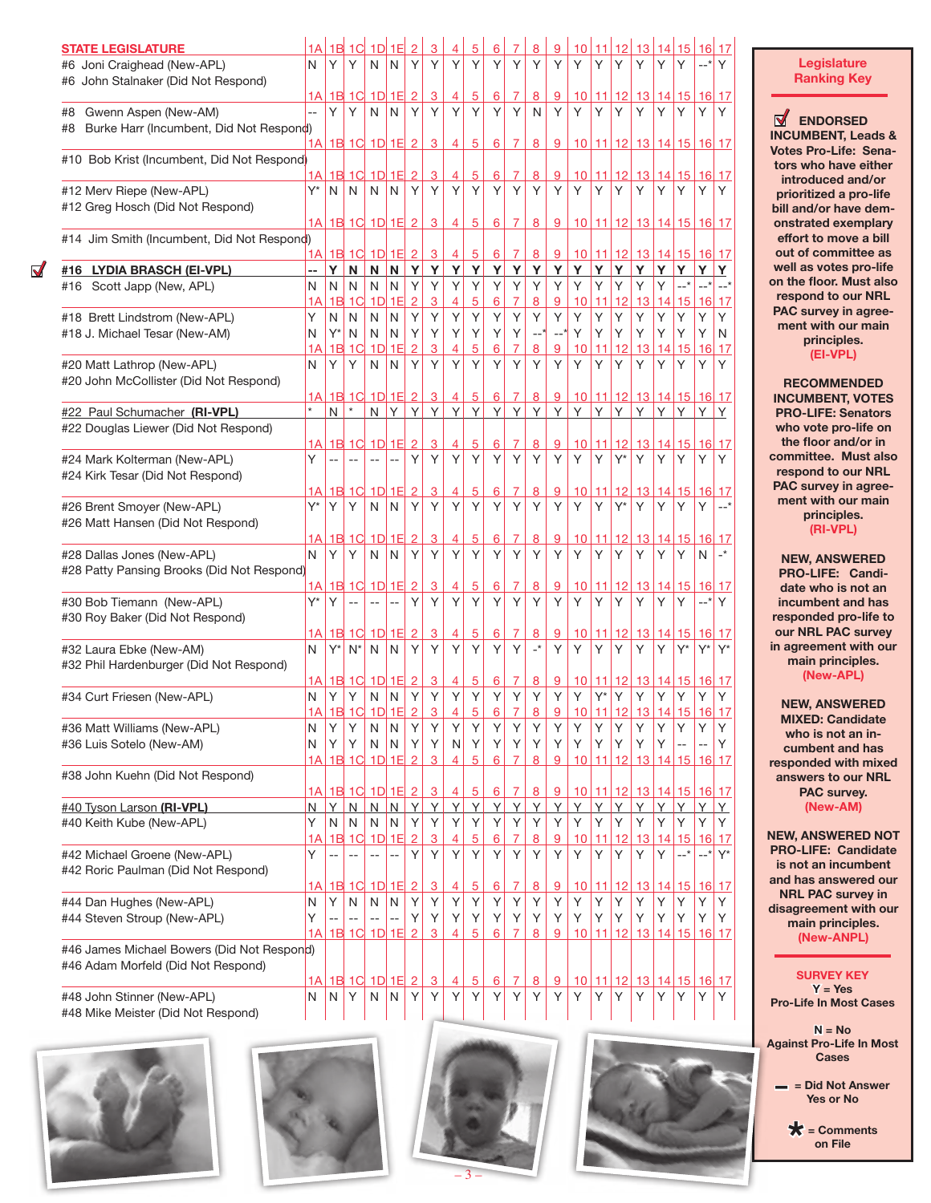| <b><i>STATE LEGISLATURE</i></b><br>#6 Joni Craighead (New-APL)<br>#6 John Stalnaker (Did Not Respond) | 1A<br>N | 1B<br>Υ | 1 <sup>C</sup><br>Υ       | 1D<br>N | 1E<br>N        | Υ              | Y              | Υ              | 5<br>Y         | 6<br>Υ               | Y                   | 8<br>Y                     | 9<br>Y         | 10<br>Υ              | 11<br>Y     | 12<br>Υ     | 13<br>Υ                       | 14<br>Y               | 15<br>Y     | 16<br>$--$ *          | 17<br>Y                    |
|-------------------------------------------------------------------------------------------------------|---------|---------|---------------------------|---------|----------------|----------------|----------------|----------------|----------------|----------------------|---------------------|----------------------------|----------------|----------------------|-------------|-------------|-------------------------------|-----------------------|-------------|-----------------------|----------------------------|
|                                                                                                       | 1А      |         | 1B 1C                     |         | 1D 1E          | $\overline{2}$ | 3              | 4              | $\overline{5}$ | 6                    | 7                   | 8                          | <u>9</u>       | 10 <sup>1</sup>      | 11          | <u>12</u>   | 13                            | 14                    | 15          | 16 17                 |                            |
| Gwenn Aspen (New-AM)<br>#8                                                                            |         | Υ       | Y                         | N       | N              | Y              | Y              | Y              | Y              | Υ                    | Y                   | N                          | Y              | Y                    | Y           | Υ           | Y                             | Y                     | Υ           | Υ                     | Y                          |
| Burke Harr (Incumbent, Did Not Respond)<br>#8                                                         |         |         | <u>1A 1B 1C 1D 1E 2</u>   |         |                |                | 3              | 4              | 5              | 6                    | $\overline{7}$      | 8                          | 9              | 10 <sup>1</sup>      |             |             | 11 12 13 14 15 16 17          |                       |             |                       |                            |
| #10 Bob Krist (Incumbent, Did Not Respond)                                                            |         |         |                           |         |                |                |                |                |                |                      |                     |                            |                |                      |             |             |                               |                       |             |                       |                            |
|                                                                                                       | 1А      |         | 1B 1C                     |         | $1D$ 1E        | $\overline{2}$ | 3              | 4              | $\overline{5}$ | 6                    | 7                   | 8                          | $\overline{9}$ | 10                   | 11          | 12          | 13                            |                       | 14 15       | 16 17                 |                            |
| #12 Merv Riepe (New-APL)                                                                              | Y*      | N       | N                         | N       | N              | Y              | Y              | Y              | Y              | Y                    | Y                   | Y                          | Y              | Y                    | Y           | Y           | Υ                             | Y                     | Y           | Υ                     | Y                          |
| #12 Greg Hosch (Did Not Respond)                                                                      |         |         |                           |         |                |                |                |                | $\overline{5}$ |                      | $\overline{7}$      |                            |                |                      |             |             | 10 11 12 13 14 15 16 17       |                       |             |                       |                            |
| #14 Jim Smith (Incumbent, Did Not Respond)                                                            |         |         | <u>1A 1B 1C 1D 1E 2</u>   |         |                |                | $\overline{3}$ | $\overline{4}$ |                | 6                    |                     | 8                          | 9              |                      |             |             |                               |                       |             |                       |                            |
|                                                                                                       |         |         | 1A 1B 1C 1D 1E 2          |         |                |                | 3              | 4              | $\overline{5}$ | 6                    | 7                   | 8                          | 9              | 10                   | 11          |             | 12 13 14 15 16 17             |                       |             |                       |                            |
| #16 LYDIA BRASCH (EI-VPL)                                                                             | --      | Υ       | N                         | N       | N              | Y              | Y              | Y              | Υ              | Y                    | Υ                   | Y                          | Y              | Υ                    | Y           | Y           | Υ                             | Y                     | Y           | Y                     | Y                          |
| #16 Scott Japp (New, APL)                                                                             | N       | N       | N                         | N       | N              | Y              | Y              | Υ              | Υ              | Y                    | Y                   | Y                          | Y              | Υ                    | Υ           | Υ           | Y                             | Y                     |             |                       |                            |
|                                                                                                       | 1A      |         | $1B$ $1C$                 | 1D      | 1E             | $\overline{2}$ | 3              | 4              | $\overline{5}$ | 6                    |                     | 8                          | $\overline{9}$ | 10                   | 11          | 12          | 13                            | 14                    | 15          | 16                    | 17                         |
| #18 Brett Lindstrom (New-APL)                                                                         | Υ       | N<br>Y* | N                         | N<br>N  | N<br>N         | Y<br>Υ         | Y<br>Y         | Υ<br>Υ         | Y<br>Υ         | Y<br>Υ               | Y<br>Υ              | Y<br>__*                   | Υ<br>--*       | Υ<br>Υ               | Υ<br>Υ      | Υ<br>Υ      | Υ<br>Υ                        | Y<br>Y                | Υ<br>Υ      | Υ<br>Υ                | Y<br>N                     |
| #18 J. Michael Tesar (New-AM)                                                                         | N<br>1A | 1B      | N<br>1 <sup>C</sup>       | 1D      | 1E             | $\overline{2}$ | 3              | 4              | 5              | 6                    |                     | 8                          | $\overline{9}$ | 10                   | 11          | 12          | 13                            | 14                    | 15          | 16                    | 17                         |
| #20 Matt Lathrop (New-APL)                                                                            | N       | Y       | Y                         | N       | N              | Υ              | $\mathsf{Y}$   | Y              | Y              | Y                    | $\mathsf{Y}$        | Y                          | Y              | Y                    | Υ           | Y           | Y                             | Y                     | Y           | Υ                     | Y                          |
| #20 John McCollister (Did Not Respond)                                                                |         |         |                           |         |                |                |                |                |                |                      |                     |                            |                |                      |             |             |                               |                       |             |                       |                            |
|                                                                                                       | 1Al     |         | $1B$ $1C$                 |         | $1D$ 1E 2      |                | 3              | 4              | 5              | $6\phantom{1}6$      | 7                   | 8                          | 9              | 10                   |             |             | 11 12 13 14 15 16 17          |                       |             |                       |                            |
| #22 Paul Schumacher (RI-VPL)                                                                          |         | N       |                           | N       | Y              | Y              | Υ              | Y              | Y              | Y                    | Y                   | Υ                          | Y              | Υ                    | Y           | Y           | Y                             | Y                     | Y           | Υ                     | Υ                          |
| #22 Douglas Liewer (Did Not Respond)                                                                  |         |         | 1B 1C 1D 1E 2             |         |                |                |                |                |                |                      |                     |                            |                |                      |             |             |                               |                       |             |                       |                            |
| #24 Mark Kolterman (New-APL)                                                                          | A <br>Υ |         |                           |         |                | Υ              | 3<br>Y         | 4<br>Y         | 5<br>Y         | 6<br>Y               | 7<br>Y              | 8<br>Y                     | 9<br>Y         | 10 <sup>°</sup><br>Y | 11<br>Y     | 12<br>$Y^*$ | Y                             | 13 14 15 <br>Y        | Υ           | 16 17<br>Y            | Y                          |
| #24 Kirk Tesar (Did Not Respond)                                                                      |         |         |                           |         |                |                |                |                |                |                      |                     |                            |                |                      |             |             |                               |                       |             |                       |                            |
|                                                                                                       | 1A      |         | 1B 1C                     |         | $1D$ $1E$      | $\overline{2}$ | 3              | 4              | $\overline{5}$ | 6                    | $\overline{7}$      | 8                          | 9              | 10                   | 11          | 12          |                               | <u>13 14 15 16 17</u> |             |                       |                            |
| #26 Brent Smoyer (New-APL)                                                                            | Y*      | Υ       | Υ                         | N       | N              | Υ              | Y              | Υ              | Y              | Υ                    | Y                   | Y                          | Y              | Y                    | Υ           | $Y^*$       | Y                             | Y                     | Y           | Υ                     | $-$ *                      |
| #26 Matt Hansen (Did Not Respond)                                                                     |         |         |                           |         |                |                |                |                |                |                      |                     |                            |                |                      |             |             |                               |                       |             |                       |                            |
|                                                                                                       | 1А      |         | 1B 1C                     |         | $1D$ 1E        | $\overline{2}$ | 3              | 4              | $\overline{5}$ | 6                    |                     | $\overline{8}$             | <u>9</u>       | 10 <sup>°</sup>      |             | $11$ 12     | 13                            |                       | 14 15       | $16$ 17               |                            |
| #28 Dallas Jones (New-APL)<br>#28 Patty Pansing Brooks (Did Not Respond)                              | N       | Y       | Y                         | N       | N              | Υ              | Y              | Υ              | Y              | Y                    | Y                   | Y                          | Y              | Y                    | Υ           | Υ           | Y                             | Y                     | Y           | N                     | $\overline{\phantom{a}}^*$ |
|                                                                                                       | 1А      |         | 1B 1C                     |         | $1D$ 1E        | $\overline{2}$ | 3              | 4              | $\overline{5}$ | 6                    | 7                   | 8                          | 9              | 10                   | <u> 11</u>  | 12          | 13                            |                       | 14 15       | 16                    | 17                         |
| #30 Bob Tiemann (New-APL)                                                                             | Y*      | Y       |                           |         |                | Υ              | Y              | Y              | Y              | Y                    | $\mathsf{Y}$        | Y                          | Y              | Y                    | Υ           | Y           | Y                             | Y                     | Y           | $--$ *                | Y                          |
| #30 Roy Baker (Did Not Respond)                                                                       |         |         |                           |         |                |                |                |                |                |                      |                     |                            |                |                      |             |             |                               |                       |             |                       |                            |
|                                                                                                       | 1А      | 1B      | 1C                        | 1D      | 1E             | $\overline{2}$ | 3              | 4              | 5              | 6                    | 7                   | 8                          | 9              | 10                   | 11          | 12          | 13                            | 14                    | 15          | 16                    | 17                         |
| #32 Laura Ebke (New-AM)                                                                               | N       | $Y^*$   | $N^*$                     | N       | N              | Y              | Y              | Υ              | Y              | Υ                    | Y                   | $\overline{\phantom{a}}^*$ | Y              | Y                    | Υ           | Υ           | Υ                             | Y                     | $Y^*$       | $Y^*$                 | $Y^*$                      |
| #32 Phil Hardenburger (Did Not Respond)                                                               |         |         |                           |         |                |                |                |                |                |                      |                     |                            |                |                      |             |             |                               |                       |             |                       |                            |
| #34 Curt Friesen (New-APL)                                                                            | A <br>N | Υ       | <u>1B 1C 1D 1E 2</u><br>Υ | N       | N              | Υ              | 3<br>Υ         | 4<br>Υ         | 5<br>Y         | $6\phantom{1}6$<br>Υ | $\overline{7}$<br>Y | 8<br>Υ                     | 9<br>Υ         | 10<br>Y              | 11<br>$Y^*$ | Y           | <u>12 13 14 15 16 17</u><br>Υ | Y                     | Υ           | Υ                     | Y                          |
|                                                                                                       | AA      |         | 1B 1C                     |         | $1D$ $1E$      | $\overline{2}$ | 3              | 4              | 5              | 6                    | $\overline{7}$      | 8                          | 9              | 10 <sub>1</sub>      |             |             | 11 12 13 14 15                |                       |             | 16                    | 17                         |
| #36 Matt Williams (New-APL)                                                                           | N       | Υ       | Υ                         | N       | N              | Υ              | Υ              | Υ              | Υ              | Y                    | Υ                   | Υ                          | Υ              | Υ                    | Υ           | Υ           | Υ                             | Υ                     | Υ           | Υ                     | Y                          |
| #36 Luis Sotelo (New-AM)                                                                              | Ν       | Υ       | Υ                         | N       | Ν              | Υ              | Υ              | N              | Y              | Υ                    | Υ                   | Υ                          | Υ              | Y                    | Υ           | Υ           | Υ                             | Υ                     |             |                       | Y                          |
|                                                                                                       | 1A      |         | $1B$ 1C                   |         | $1D$ $1E$ $2$  |                | 3              | 4              | 5              | 6                    | $\overline{7}$      | 8                          | 9              | 10                   | 11          |             | 12 13 14 15 16 17             |                       |             |                       |                            |
| #38 John Kuehn (Did Not Respond)                                                                      |         |         |                           |         |                |                | 3              |                |                |                      |                     |                            | 9              |                      |             |             |                               |                       |             |                       |                            |
| #40 Tyson Larson (RI-VPL)                                                                             | N       | Y       | 1A 1B 1C 1D 1E 2<br>N     | N       | $\overline{N}$ | Y              | Y              | 4<br>Y         | 5<br>Y         | $6\phantom{1}6$<br>Y | 7<br>Υ              | 8<br>Y                     | Y              | 10 <sup>1</sup><br>Υ | 11<br>Υ     | Υ           | <u>12 13 14 15 16 17</u><br>Y | Y                     | Y           | Y                     | Y                          |
| #40 Keith Kube (New-APL)                                                                              | Υ       | N       | N                         | N       | $\mathsf{N}$   | Y              | Y              | Υ              | Y              | Υ                    | Υ                   | Υ                          | Υ              | Υ                    | Y           | Υ           | Υ                             | Y                     | Y           | Υ                     | Y                          |
|                                                                                                       | 1A      |         | $1B$ 1C                   | 1D      | 1E             | $\overline{2}$ | 3              | 4              | 5              | <u>6</u>             |                     | 8                          | $\overline{9}$ | 10                   | 11          | 12          | 13                            | 14                    | 15          |                       | $16$ 17                    |
| #42 Michael Groene (New-APL)                                                                          | Υ       |         |                           |         |                | Υ              | Y              | Y              | Y              | Υ                    | Υ                   | Y                          | Υ              | Y                    | Y           | Υ           | Y                             | Y                     | $--$ *      | $\mathbf{--}^{\star}$ | $Y^*$                      |
| #42 Roric Paulman (Did Not Respond)                                                                   |         |         |                           |         |                |                |                |                |                |                      |                     |                            |                |                      |             |             |                               |                       |             |                       |                            |
|                                                                                                       | 1А      |         | $1B$ $1C$                 |         | 1D 1E 2        |                | 3              | $\overline{4}$ | <u>5</u>       | 6                    | 7                   | $\overline{8}$             | 9              | 10                   | <u> 11</u>  | 12          | <u>13  </u>                   |                       | 14 15 16 17 |                       |                            |
| #44 Dan Hughes (New-APL)<br>#44 Steven Stroup (New-APL)                                               | N<br>Υ  | Υ       | N                         | N       | ${\sf N}$      | Y<br>Y         | Υ<br>Υ         | Υ<br>Υ         | Y<br>Υ         | Y<br>Υ               | Y<br>Υ              | Y<br>Υ                     | Y<br>Υ         | Y<br>Υ               | Υ<br>Y      | Υ<br>Υ      | Υ<br>Υ                        | Υ<br>Υ                | Υ<br>Y      | Υ<br>Υ                | Υ<br>Y                     |
|                                                                                                       |         |         | $1A$ 1B $1C$              |         | $1D$ 1E 2      |                | 3              | 4              | 5              | 6                    | $\overline{7}$      | 8                          | 9              | 10 <sup>1</sup>      |             |             | <u>11 12 13 14 15 16 17</u>   |                       |             |                       |                            |
| #46 James Michael Bowers (Did Not Respond)                                                            |         |         |                           |         |                |                |                |                |                |                      |                     |                            |                |                      |             |             |                               |                       |             |                       |                            |
| #46 Adam Morfeld (Did Not Respond)                                                                    |         |         |                           |         |                |                |                |                |                |                      |                     |                            |                |                      |             |             |                               |                       |             |                       |                            |
|                                                                                                       |         |         | 1A 1B 1C 1D 1E 2          |         |                |                | 3              | 4              | 5              | 6                    | 7                   | 8                          | 9              | 10 <sup>1</sup>      |             |             | 11 12 13 14 15 16 17          |                       |             |                       |                            |
| #48 John Stinner (New-APL)                                                                            | N       | N       | Υ                         | N       | N              | Υ              | Υ              | Y              | Y              | Υ                    | Υ                   | Υ                          | Υ              | Y                    | Υ           | Y           | Y                             | Y                     | Υ           | Y                     | Y                          |
| #48 Mike Meister (Did Not Respond)                                                                    |         |         |                           |         |                |                |                |                |                |                      |                     |                            |                |                      |             |             |                               |                       |             |                       |                            |
|                                                                                                       |         |         |                           |         |                |                |                |                |                |                      |                     |                            |                |                      |             |             |                               |                       |             |                       |                            |

**ENDORSED INCUMBENT, Leads & Votes Pro-Life: Sena -**

**Legislature Ranking Key**

**tors who have either introduced and/or prioritized a pro-life bill and/or have dem onstrated exemplary effort to move a bill out of committee as well as votes pro-life on the floor. Must also respond to our NRL PAC survey in agree ment with our main principles. (EI-VPL)**

**RECOMMENDED INCUMBENT, VOTES PRO-LIFE: Senators who vote pro-life on the floor and/or in committee. Must also respond to our NRL PAC survey in agree ment with our main principles. (RI-VPL)**

**NEW, ANSWERED PRO-LIFE: Candi date who is not an incumbent and has responded pro-life to our NRL PAC survey in agreement with our main principles. (New-APL)**

**NEW, ANSWERED MIXED: Candidate who is not an in cumbent and has responded with mixed answers to our NRL PAC survey. (New-AM)**

**NEW, ANSWERED NOT PRO-LIFE: Candidate is not an incumbent and has answered our NRL PAC survey in disagreement with our main principles. (New-ANPL)**

**SURVEY KEY Y = Yes**

**Pro-Life In Most Cases**<br>N = No **Against Pro-Life In Most Cases** 

> **– = Did Not Answer Yes or No**

**\* = Comments on File**





 $\blacktriangledown$